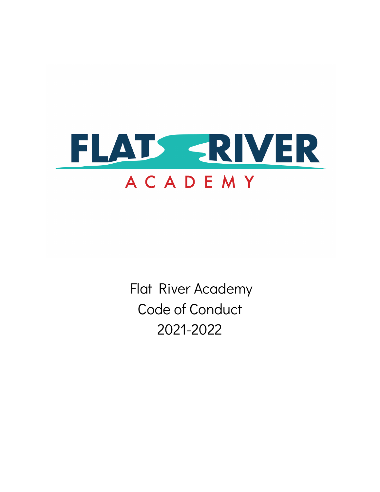

Flat River Academy Code of Conduct 2021-2022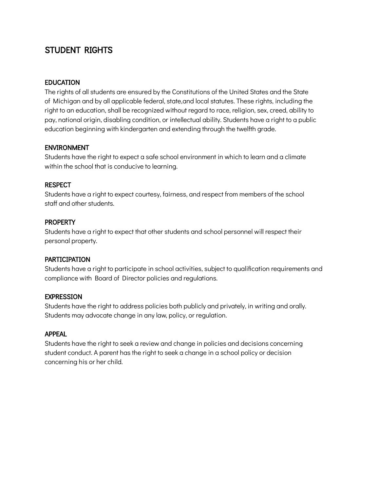# STUDENT RIGHTS

## EDUCATION

The rights of all students are ensured by the Constitutions of the United States and the State of Michigan and by all applicable federal, state,and local statutes. These rights, including the right to an education, shall be recognized without regard to race, religion, sex, creed, ability to pay, national origin, disabling condition, or intellectual ability. Students have a right to a public education beginning with kindergarten and extending through the twelfth grade.

#### ENVIRONMENT

Students have the right to expect a safe school environment in which to learn and a climate within the school that is conducive to learning.

## **RESPECT**

Students have a right to expect courtesy, fairness, and respect from members of the school staff and other students.

#### **PROPERTY**

Students have a right to expect that other students and school personnel will respect their personal property.

#### PARTICIPATION

Students have a right to participate in school activities, subject to qualification requirements and compliance with Board of Director policies and regulations.

#### EXPRESSION

Students have the right to address policies both publicly and privately, in writing and orally. Students may advocate change in any law, policy, or regulation.

#### APPEAL

Students have the right to seek a review and change in policies and decisions concerning student conduct. A parent has the right to seek a change in a school policy or decision concerning his or her child.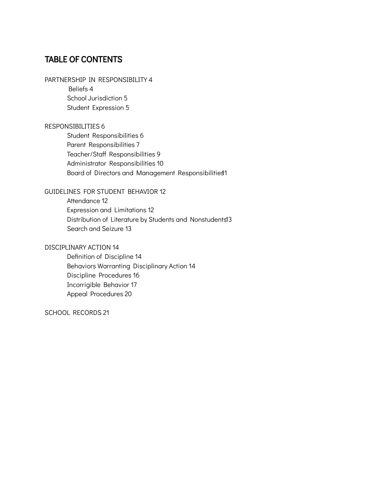# TABLE OF CONTENTS

## PARTNERSHIP IN RESPONSIBILITY 4

Beliefs 4 School Jurisdiction 5 Student Expression 5

#### RESPONSIBILITIES 6

Student Responsibilities 6 Parent Responsibilities 7 Teacher/Staff Responsibilities 9 Administrator Responsibilities 10 Board of Directors and Management Responsibilities1

#### GUIDELINES FOR STUDENT BEHAVIOR 12

Attendance 12 Expression and Limitations 12 Distribution of Literature by Students and Nonstudents13 Search and Seizure 13

#### DISCIPLINARY ACTION 14

Definition of Discipline 14 Behaviors Warranting Disciplinary Action 14 Discipline Procedures 16 Incorrigible Behavior 17 Appeal Procedures 20

SCHOOL RECORDS 21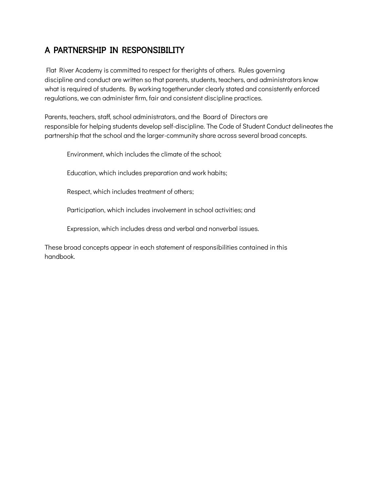# A PARTNERSHIP IN RESPONSIBILITY

Flat River Academy is committed to respect for therights of others. Rules governing discipline and conduct are written so that parents, students, teachers, and administrators know what is required of students. By working togetherunder clearly stated and consistently enforced regulations, we can administer firm, fair and consistent discipline practices.

Parents, teachers, staff, school administrators, and the Board of Directors are responsible for helping students develop self-discipline. The Code of Student Conduct delineates the partnership that the school and the larger-community share across several broad concepts.

Environment, which includes the climate of the school;

Education, which includes preparation and work habits;

Respect, which includes treatment of others;

Participation, which includes involvement in school activities; and

Expression, which includes dress and verbal and nonverbal issues.

These broad concepts appear in each statement of responsibilities contained in this handbook.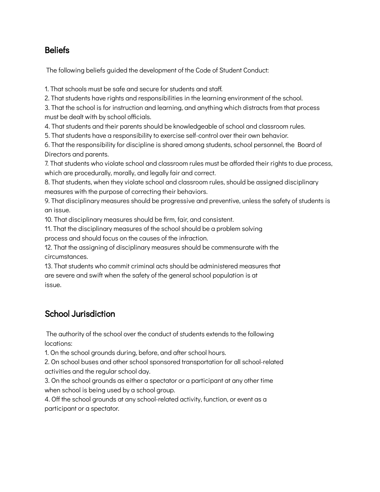# Beliefs

The following beliefs guided the development of the Code of Student Conduct:

1. That schools must be safe and secure for students and staff.

2. That students have rights and responsibilities in the learning environment of the school.

3. That the school is for instruction and learning, and anything which distracts from that process must be dealt with by school officials.

4. That students and their parents should be knowledgeable of school and classroom rules.

5. That students have a responsibility to exercise self-control over their own behavior.

6. That the responsibility for discipline is shared among students, school personnel, the Board of Directors and parents.

7. That students who violate school and classroom rules must be afforded their rights to due process, which are procedurally, morally, and legally fair and correct.

8. That students, when they violate school and classroom rules, should be assigned disciplinary measures with the purpose of correcting their behaviors.

9. That disciplinary measures should be progressive and preventive, unless the safety of students is an issue.

10. That disciplinary measures should be firm, fair, and consistent.

11. That the disciplinary measures of the school should be a problem solving process and should focus on the causes of the infraction.

12. That the assigning of disciplinary measures should be commensurate with the circumstances.

13. That students who commit criminal acts should be administered measures that are severe and swift when the safety of the general school population is at issue.

# School Jurisdiction

The authority of the school over the conduct of students extends to the following locations:

1. On the school grounds during, before, and after school hours.

2. On school buses and other school sponsored transportation for all school-related activities and the regular school day.

3. On the school grounds as either a spectator or a participant at any other time when school is being used by a school group.

4. Off the school grounds at any school-related activity, function, or event as a participant or a spectator.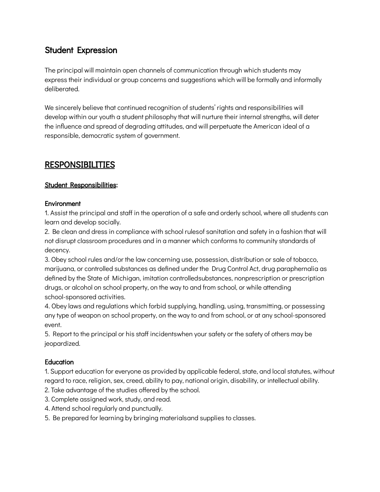# Student Expression

The principal will maintain open channels of communication through which students may express their individual or group concerns and suggestions which will be formally and informally deliberated.

We sincerely believe that continued recognition of students' rights and responsibilities will develop within our youth a student philosophy that will nurture their internal strengths, will deter the influence and spread of degrading attitudes, and will perpetuate the American ideal of a responsible, democratic system of government.

# RESPONSIBILITIES

## Student Responsibilities:

## **Environment**

1. Assist the principal and staff in the operation of a safe and orderly school, where all students can learn and develop socially.

2. Be clean and dress in compliance with school rulesof sanitation and safety in a fashion that will not disrupt classroom procedures and in a manner which conforms to community standards of decency.

3. Obey school rules and/or the law concerning use, possession, distribution or sale of tobacco, marijuana, or controlled substances as defined under the Drug Control Act, drug paraphernalia as defined by the State of Michigan, imitation controlledsubstances, nonprescription or prescription drugs, or alcohol on school property, on the way to and from school, or while attending school-sponsored activities.

4. Obey laws and regulations which forbid supplying, handling, using, transmitting, or possessing any type of weapon on school property, on the way to and from school, or at any school-sponsored event.

5. Report to the principal or his staff incidentswhen your safety or the safety of others may be jeopardized.

## **Education**

1. Support education for everyone as provided by applicable federal, state, and local statutes, without regard to race, religion, sex, creed, ability to pay, national origin, disability, or intellectual ability.

2. Take advantage of the studies offered by the school.

- 3. Complete assigned work, study, and read.
- 4. Attend school regularly and punctually.
- 5. Be prepared for learning by bringing materialsand supplies to classes.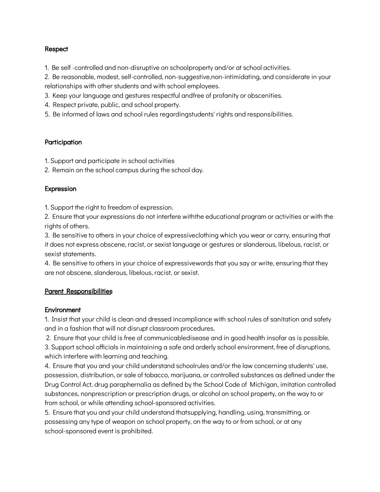#### **Respect**

1. Be self -controlled and non-disruptive on schoolproperty and/or at school activities.

2. Be reasonable, modest, self-controlled, non-suggestive,non-intimidating, and considerate in your relationships with other students and with school employees.

3. Keep your language and gestures respectful andfree of profanity or obscenities.

- 4. Respect private, public, and school property.
- 5. Be informed of laws and school rules regardingstudents' rights and responsibilities.

#### **Participation**

- 1. Support and participate in school activities
- 2. Remain on the school campus during the school day.

#### Expression

1. Support the right to freedom of expression.

2. Ensure that your expressions do not interfere withthe educational program or activities or with the rights of others.

3. Be sensitive to others in your choice of expressiveclothing which you wear or carry, ensuring that it does not express obscene, racist, or sexist language or gestures or slanderous, libelous, racist, or sexist statements.

4. Be sensitive to others in your choice of expressivewords that you say or write, ensuring that they are not obscene, slanderous, libelous, racist, or sexist.

## Parent Responsibilities

#### **Environment**

1. Insist that your child is clean and dressed incompliance with school rules of sanitation and safety and in a fashion that will not disrupt classroom procedures.

2. Ensure that your child is free of communicabledisease and in good health insofar as is possible.

3. Support school officials in maintaining a safe and orderly school environment, free of disruptions, which interfere with learning and teaching.

4. Ensure that you and your child understand schoolrules and/or the law concerning students' use, possession, distribution, or sale of tobacco, marijuana, or controlled substances as defined under the Drug Control Act, drug paraphernalia as defined by the School Code of Michigan, imitation controlled substances, nonprescription or prescription drugs, or alcohol on school property, on the way to or from school, or while attending school-sponsored activities.

5. Ensure that you and your child understand thatsupplying, handling, using, transmitting, or possessing any type of weapon on school property, on the way to or from school, or at any school-sponsored event is prohibited.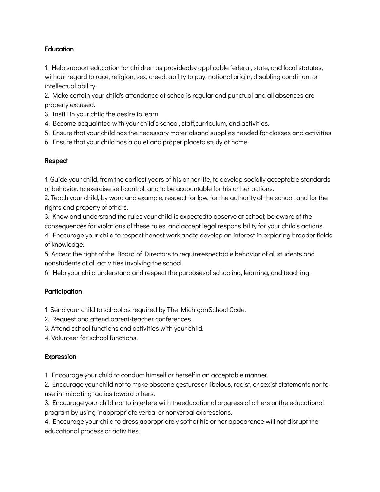## **Education**

1. Help support education for children as providedby applicable federal, state, and local statutes, without regard to race, religion, sex, creed, ability to pay, national origin, disabling condition, or intellectual ability.

2. Make certain your child's attendance at schoolis regular and punctual and all absences are properly excused.

- 3. Instill in your child the desire to learn.
- 4. Become acquainted with your child's school, staff,curriculum, and activities.
- 5. Ensure that your child has the necessary materialsand supplies needed for classes and activities.
- 6. Ensure that your child has a quiet and proper placeto study at home.

## Respect

1. Guide your child, from the earliest years of his or her life, to develop socially acceptable standards of behavior, to exercise self-control, and to be accountable for his or her actions.

2. Teach your child, by word and example, respect for law, for the authority of the school, and for the rights and property of others.

3. Know and understand the rules your child is expectedto observe at school; be aware of the consequences for violations of these rules, and accept legal responsibility for your child's actions.

4. Encourage your child to respect honest work andto develop an interest in exploring broader fields of knowledge.

5. Accept the right of the Board of Directors to requirerespectable behavior of all students and nonstudents at all activities involving the school.

6. Help your child understand and respect the purposesof schooling, learning, and teaching.

## **Participation**

1. Send your child to school as required by The MichiganSchool Code.

- 2. Request and attend parent-teacher conferences.
- 3. Attend school functions and activities with your child.

4. Volunteer for school functions.

## Expression

1. Encourage your child to conduct himself or herselfin an acceptable manner.

2. Encourage your child not to make obscene gesturesor libelous, racist, or sexist statements nor to use intimidating tactics toward others.

3. Encourage your child not to interfere with theeducational progress of others or the educational program by using inappropriate verbal or nonverbal expressions.

4. Encourage your child to dress appropriately sothat his or her appearance will not disrupt the educational process or activities.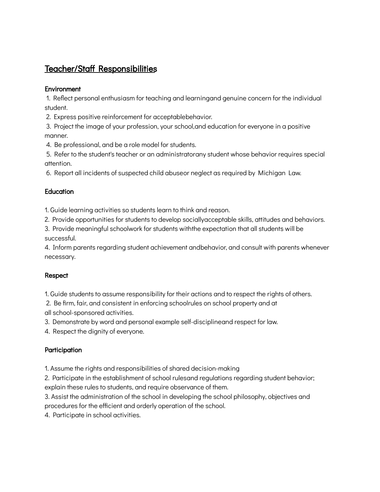# Teacher/Staff Responsibilities

#### **Environment**

1. Reflect personal enthusiasm for teaching and learningand genuine concern for the individual student.

2. Express positive reinforcement for acceptablebehavior.

3. Project the image of your profession, your school,and education for everyone in a positive manner.

4. Be professional, and be a role model for students.

5. Refer to the student's teacher or an administratorany student whose behavior requires special attention.

6. Report all incidents of suspected child abuseor neglect as required by Michigan Law.

## **Education**

1. Guide learning activities so students learn to think and reason.

2. Provide opportunities for students to develop sociallyacceptable skills, attitudes and behaviors.

3. Provide meaningful schoolwork for students withthe expectation that all students will be successful.

4. Inform parents regarding student achievement andbehavior, and consult with parents whenever necessary.

## Respect

1. Guide students to assume responsibility for their actions and to respect the rights of others.

2. Be firm, fair, and consistent in enforcing schoolrules on school property and at all school-sponsored activities.

3. Demonstrate by word and personal example self-disciplineand respect for law.

4. Respect the dignity of everyone.

## **Participation**

1. Assume the rights and responsibilities of shared decision-making

2. Participate in the establishment of school rulesand regulations regarding student behavior; explain these rules to students, and require observance of them.

3. Assist the administration of the school in developing the school philosophy, objectives and procedures for the efficient and orderly operation of the school.

4. Participate in school activities.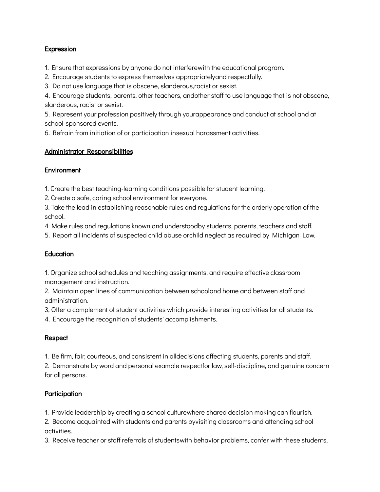#### Expression

1. Ensure that expressions by anyone do not interferewith the educational program.

2. Encourage students to express themselves appropriatelyand respectfully.

3. Do not use language that is obscene, slanderous,racist or sexist.

4. Encourage students, parents, other teachers, andother staff to use language that is not obscene, slanderous, racist or sexist.

5. Represent your profession positively through yourappearance and conduct at school and at school-sponsored events.

6. Refrain from initiation of or participation insexual harassment activities.

#### Administrator Responsibilities

#### **Environment**

1. Create the best teaching-learning conditions possible for student learning.

2. Create a safe, caring school environment for everyone.

3. Take the lead in establishing reasonable rules and regulations for the orderly operation of the school.

4 Make rules and regulations known and understoodby students, parents, teachers and staff.

5. Report all incidents of suspected child abuse orchild neglect as required by Michigan Law.

## **Education**

1. Organize school schedules and teaching assignments, and require effective classroom management and instruction.

2. Maintain open lines of communication between schooland home and between staff and administration.

3, Offer a complement of student activities which provide interesting activities for all students.

4. Encourage the recognition of students' accomplishments.

## Respect

1. Be firm, fair, courteous, and consistent in alldecisions affecting students, parents and staff.

2. Demonstrate by word and personal example respectfor law, self-discipline, and genuine concern for all persons.

## **Participation**

1. Provide leadership by creating a school culturewhere shared decision making can flourish.

2. Become acquainted with students and parents byvisiting classrooms and attending school activities.

3. Receive teacher or staff referrals of studentswith behavior problems, confer with these students,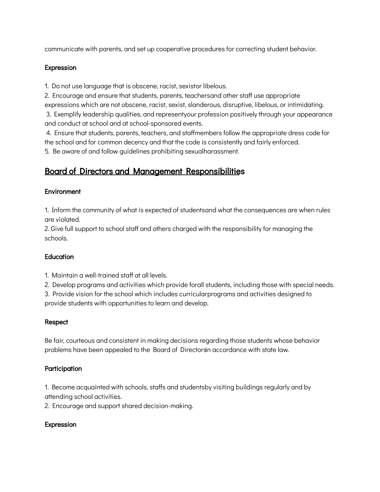communicate with parents, and set up cooperative procedures for correcting student behavior.

#### Expression

1. Do not use language that is obscene, racist, sexistor libelous.

2. Encourage and ensure that students, parents, teachersand other staff use appropriate expressions which are not obscene, racist, sexist, slanderous, disruptive, libelous, or intimidating.

3. Exemplify leadership qualities, and representyour profession positively through your appearance and conduct at school and at school-sponsored events.

4. Ensure that students, parents, teachers, and staffmembers follow the appropriate dress code for the school and for common decency and that the code is consistently and fairly enforced.

5. Be aware of and follow guidelines prohibiting sexualharassment.

# Board of Directors and Management Responsibilities

## **Environment**

1. Inform the community of what is expected of studentsand what the consequences are when rules are violated.

2. Give full support to school staff and others charged with the responsibility for managing the schools.

## **Education**

1. Maintain a well-trained staff at all levels.

2. Develop programs and activities which provide forall students, including those with special needs.

3. Provide vision for the school which includes curricularprograms and activities designed to provide students with opportunities to learn and develop.

## **Respect**

Be fair, courteous and consistent in making decisions regarding those students whose behavior problems have been appealed to the Board of Directorsin accordance with state law.

## **Participation**

1. Become acquainted with schools, staffs and studentsby visiting buildings regularly and by attending school activities.

2. Encourage and support shared decision-making.

## Expression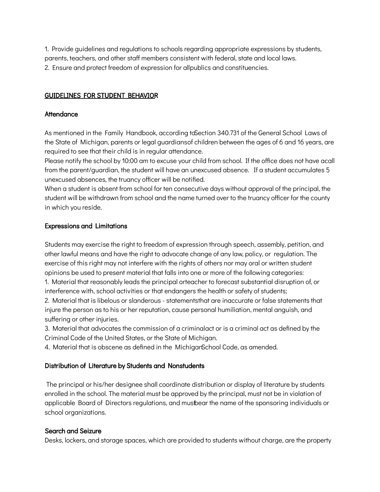1. Provide guidelines and regulations to schools regarding appropriate expressions by students, parents, teachers, and other staff members consistent with federal, state and local laws. 2. Ensure and protect freedom of expression for allpublics and constituencies.

#### GUIDELINES FOR STUDENT BEHAVIOR

#### **Attendance**

As mentioned in the Family Handbook, according toSection 340.731 of the General School Laws of the State of Michigan, parents or legal guardiansof children between the ages of 6 and 16 years, are required to see that their child is in regular attendance.

Please notify the school by 10:00 am to excuse your child from school. If the office does not have acall from the parent/guardian, the student will have an unexcused absence. If a student accumulates 5 unexcused absences, the truancy officer will be notified.

When a student is absent from school for ten consecutive days without approval of the principal, the student will be withdrawn from school and the name turned over to the truancy officer for the county in which you reside.

#### Expressions and Limitations

Students may exercise the right to freedom of expression through speech, assembly, petition, and other lawful means and have the right to advocate change of any law, policy, or regulation. The exercise of this right may not interfere with the rights of others nor may oral or written student opinions be used to present material that falls into one or more of the following categories:

1. Material that reasonably leads the principal orteacher to forecast substantial disruption of, or interference with, school activities or that endangers the health or safety of students;

2. Material that is libelous or slanderous - statementsthat are inaccurate or false statements that injure the person as to his or her reputation, cause personal humiliation, mental anguish, and suffering or other injuries.

3. Material that advocates the commission of a criminalact or is a criminal act as defined by the Criminal Code of the United States, or the State of Michigan.

4. Material that is obscene as defined in the MichiganSchool Code, as amended.

## Distribution of Literature by Students and Nonstudents

The principal or his/her designee shall coordinate distribution or display of literature by students enrolled in the school. The material must be approved by the principal, must not be in violation of applicable Board of Directors regulations, and mustbear the name of the sponsoring individuals or school organizations.

#### Search and Seizure

Desks, lockers, and storage spaces, which are provided to students without charge, are the property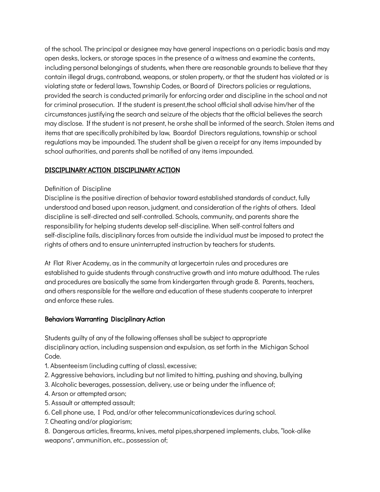of the school. The principal or designee may have general inspections on a periodic basis and may open desks, lockers, or storage spaces in the presence of a witness and examine the contents, including personal belongings of students, when there are reasonable grounds to believe that they contain illegal drugs, contraband, weapons, or stolen property, or that the student has violated or is violating state or federal laws, Township Codes, or Board of Directors policies or regulations, provided the search is conducted primarily for enforcing order and discipline in the school and not for criminal prosecution. If the student is present,the school official shall advise him/her of the circumstances justifying the search and seizure of the objects that the official believes the search may disclose. If the student is not present, he orshe shall be informed of the search. Stolen items and items that are specifically prohibited by law, Boardof Directors regulations, township or school regulations may be impounded. The student shall be given a receipt for any items impounded by school authorities, and parents shall be notified of any items impounded.

## DISCIPLINARY ACTION DISCIPLINARY ACTION

#### Definition of Discipline

Discipline is the positive direction of behavior toward established standards of conduct, fully understood and based upon reason, judgment, and consideration of the rights of others. Ideal discipline is self-directed and self-controlled. Schools, community, and parents share the responsibility for helping students develop self-discipline. When self-control falters and self-discipline fails, disciplinary forces from outside the individual must be imposed to protect the rights of others and to ensure uninterrupted instruction by teachers for students.

At Flat River Academy, as in the community at largecertain rules and procedures are established to guide students through constructive growth and into mature adulthood. The rules and procedures are basically the same from kindergarten through grade 8. Parents, teachers, and others responsible for the welfare and education of these students cooperate to interpret and enforce these rules.

#### Behaviors Warranting Disciplinary Action

Students guilty of any of the following offenses shall be subject to appropriate disciplinary action, including suspension and expulsion, as set forth in the Michigan School Code.

- 1. Absenteeism (including cutting of class), excessive;
- 2. Aggressive behaviors, including but not limited to hitting, pushing and shoving, bullying
- 3. Alcoholic beverages, possession, delivery, use or being under the influence of;
- 4. Arson or attempted arson;
- 5. Assault or attempted assault;
- 6. Cell phone use, I Pod, and/or other telecommunicationsdevices during school.
- 7. Cheating and/or plagiarism;

8. Dangerous articles, firearms, knives, metal pipes,sharpened implements, clubs, "look-alike weapons", ammunition, etc., possession of;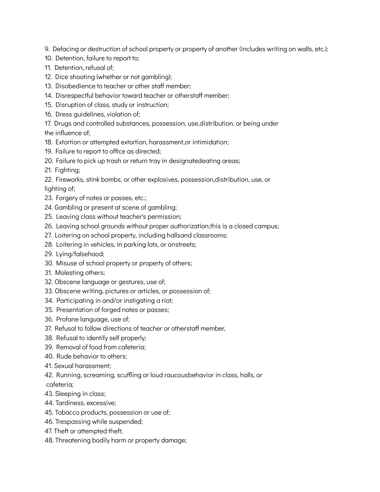9. Defacing or destruction of school property or property of another (includes writing on walls, etc.);

- 10. Detention, failure to report to;
- 11. Detention, refusal of;
- 12. Dice shooting (whether or not gambling);
- 13. Disobedience to teacher or other staff member;
- 14. Disrespectful behavior toward teacher or otherstaff member;
- 15. Disruption of class, study or instruction;
- 16. Dress guidelines, violation of;
- 17. Drugs and controlled substances, possession, use,distribution, or being under the influence of;
- 18. Extortion or attempted extortion, harassment,or intimidation;
- 19. Failure to report to office as directed;
- 20. Failure to pick up trash or return tray in designatedeating areas;
- 21. Fighting;
- 22. Fireworks, stink bombs, or other explosives, possession,distribution, use, or lighting of;
- 23. Forgery of notes or passes, etc.;
- 24. Gambling or present at scene of gambling;
- 25. Leaving class without teacher's permission;
- 26. Leaving school grounds without proper authorization,this is a closed campus;
- 27. Loitering on school property, including hallsand classrooms;
- 28. Loitering in vehicles, in parking lots, or onstreets;
- 29. Lying/falsehood;
- 30. Misuse of school property or property of others;
- 31. Molesting others;
- 32. Obscene language or gestures, use of;
- 33. Obscene writing, pictures or articles, or possession of;
- 34. Participating in and/or instigating a riot;
- 35. Presentation of forged notes or passes;
- 36. Profane language, use of;
- 37. Refusal to follow directions of teacher or otherstaff member,
- 38. Refusal to identify self properly;
- 39. Removal of food from cafeteria;
- 40. Rude behavior to others;
- 41. Sexual harassment;
- 42. Running, screaming, scuffling or loud raucousbehavior in class, halls, or cafeteria;
- 43. Sleeping in class;
- 44. Tardiness, excessive;
- 45. Tobacco products, possession or use of;
- 46. Trespassing while suspended;
- 47. Theft or attempted theft;
- 48. Threatening bodily harm or property damage;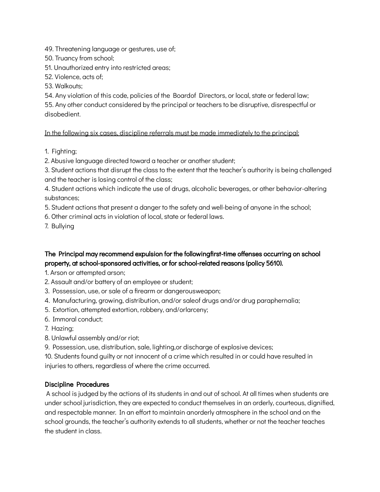49. Threatening language or gestures, use of;

50. Truancy from school;

51. Unauthorized entry into restricted areas;

52. Violence, acts of;

53. Walkouts;

54. Any violation of this code, policies of the Boardof Directors, or local, state or federal law; 55. Any other conduct considered by the principal or teachers to be disruptive, disrespectful or disobedient.

In the following six cases, discipline referrals must be made immediately to the principal:

1. Fighting;

2. Abusive language directed toward a teacher or another student;

3. Student actions that disrupt the class to the extent that the teacher's authority is being challenged and the teacher is losing control of the class;

4. Student actions which indicate the use of drugs, alcoholic beverages, or other behavior-altering substances;

5. Student actions that present a danger to the safety and well-being of anyone in the school;

6. Other criminal acts in violation of local, state or federal laws.

7. Bullying

The Principal may recommend expulsion for the followingfirst-time offenses occurring on school property, at school-sponsored activities, or for school-related reasons (policy 5610).

1. Arson or attempted arson;

2. Assault and/or battery of an employee or student;

3. Possession, use, or sale of a firearm or dangerousweapon;

4. Manufacturing, growing, distribution, and/or saleof drugs and/or drug paraphernalia;

5. Extortion, attempted extortion, robbery, and/orlarceny;

6. Immoral conduct;

- 7. Hazing;
- 8. Unlawful assembly and/or riot;

9. Possession, use, distribution, sale, lighting,or discharge of explosive devices;

10. Students found guilty or not innocent of a crime which resulted in or could have resulted in injuries to others, regardless of where the crime occurred.

## Discipline Procedures

A school is judged by the actions of its students in and out of school. At all times when students are under school jurisdiction, they are expected to conduct themselves in an orderly, courteous, dignified, and respectable manner. In an effort to maintain anorderly atmosphere in the school and on the school grounds, the teacher's authority extends to all students, whether or not the teacher teaches the student in class.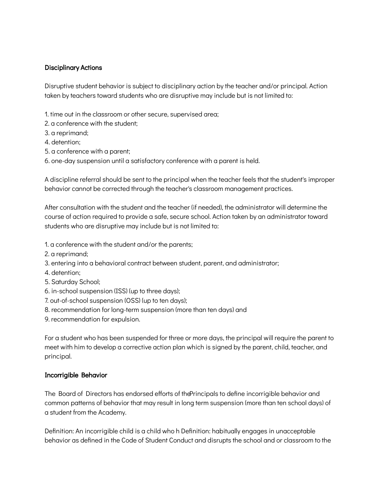#### Disciplinary Actions

Disruptive student behavior is subject to disciplinary action by the teacher and/or principal. Action taken by teachers toward students who are disruptive may include but is not limited to:

- 1. time out in the classroom or other secure, supervised area;
- 2. a conference with the student;
- 3. a reprimand;
- 4. detention;
- 5. a conference with a parent;
- 6. one-day suspension until a satisfactory conference with a parent is held.

A discipline referral should be sent to the principal when the teacher feels that the student's improper behavior cannot be corrected through the teacher's classroom management practices.

After consultation with the student and the teacher (if needed), the administrator will determine the course of action required to provide a safe, secure school. Action taken by an administrator toward students who are disruptive may include but is not limited to:

- 1. a conference with the student and/or the parents;
- 2. a reprimand;
- 3. entering into a behavioral contract between student, parent, and administrator;
- 4. detention;
- 5. Saturday School;
- 6. in-school suspension (ISS) (up to three days);
- 7. out-of-school suspension (OSS) (up to ten days);
- 8. recommendation for long-term suspension (more than ten days) and
- 9. recommendation for expulsion.

For a student who has been suspended for three or more days, the principal will require the parent to meet with him to develop a corrective action plan which is signed by the parent, child, teacher, and principal.

#### Incorrigible Behavior

The Board of Directors has endorsed efforts of thePrincipals to define incorrigible behavior and common patterns of behavior that may result in long term suspension (more than ten school days) of a student from the Academy.

Definition: An incorrigible child is a child who h Definition: habitually engages in unacceptable behavior as defined in the Code of Student Conduct and disrupts the school and or classroom to the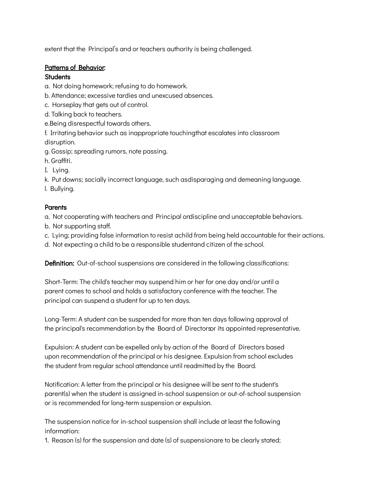extent that the Principal's and or teachers authority is being challenged.

#### Patterns of Behavior:

#### **Students**

a. Not doing homework; refusing to do homework.

- b. Attendance; excessive tardies and unexcused absences.
- c. Horseplay that gets out of control.
- d. Talking back to teachers.
- e.Being disrespectful towards others.
- f. Irritating behavior such as inappropriate touchingthat escalates into classroom disruption.
- g. Gossip; spreading rumors, note passing.
- h. Graffiti.
- I. Lying.
- k. Put downs; socially incorrect language, such asdisparaging and demeaning language.
- l. Bullying.

#### **Parents**

a. Not cooperating with teachers and Principal ondiscipline and unacceptable behaviors.

- b. Not supporting staff.
- c. Lying; providing false information to resist achild from being held accountable for their actions.
- d. Not expecting a child to be a responsible studentand citizen of the school.

Definition: Out-of-school suspensions are considered in the following classifications:

Short-Term: The child's teacher may suspend him or her for one day and/or until a parent comes to school and holds a satisfactory conference with the teacher. The principal can suspend a student for up to ten days.

Long-Term: A student can be suspended for more than ten days following approval of the principal's recommendation by the Board of Directorsor its appointed representative.

Expulsion: A student can be expelled only by action of the Board of Directors based upon recommendation of the principal or his designee. Expulsion from school excludes the student from regular school attendance until readmitted by the Board.

Notification: A letter from the principal or his designee will be sent to the student's parent(s) when the student is assigned in-school suspension or out-of-school suspension or is recommended for long-term suspension or expulsion.

The suspension notice for in-school suspension shall include at least the following information:

1. Reason (s) for the suspension and date (s) of suspensionare to be clearly stated;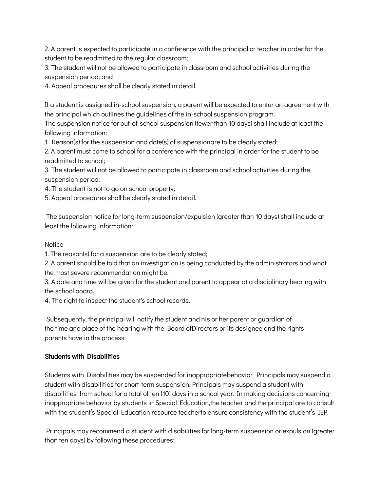2. A parent is expected to participate in a conference with the principal or teacher in order for the student to be readmitted to the regular classroom;

3. The student will not be allowed to participate in classroom and school activities during the suspension period; and

4. Appeal procedures shall be clearly stated in detail.

If a student is assigned in-school suspension, a parent will be expected to enter an agreement with the principal which outlines the guidelines of the in-school suspension program.

The suspension notice for out-of-school suspension (fewer than 10 days) shall include at least the following information:

1. Reason(s) for the suspension and date(s) of suspensionare to be clearly stated;

2. A parent must come to school for a conference with the principal in order for the student to be readmitted to school;

3. The student will not be allowed to participate in classroom and school activities during the suspension period;

4. The student is not to go on school property;

5. Appeal procedures shall be clearly stated in detail.

The suspension notice for long-term suspension/expulsion (greater than 10 days) shall include at least the following information:

#### **Notice**

1. The reason(s) for a suspension are to be clearly stated;

2. A parent should be told that an investigation is being conducted by the administrators and what the most severe recommendation might be;

3. A date and time will be given for the student and parent to appear at a disciplinary hearing with the school board.

4. The right to inspect the student's school records.

Subsequently, the principal will notify the student and his or her parent or guardian of the time and place of the hearing with the Board ofDirectors or its designee and the rights parents have in the process.

## Students with Disabilities

Students with Disabilities may be suspended for inappropriatebehavior. Principals may suspend a student with disabilities for short-term suspension. Principals may suspend a student with disabilities from school for a total of ten (10) days in a school year. In making decisions concerning inappropriate behavior by students in Special Education,the teacher and the principal are to consult with the student's Special Education resource teacherto ensure consistency with the student's IEP.

Principals may recommend a student with disabilities for long-term suspension or expulsion (greater than ten days) by following these procedures: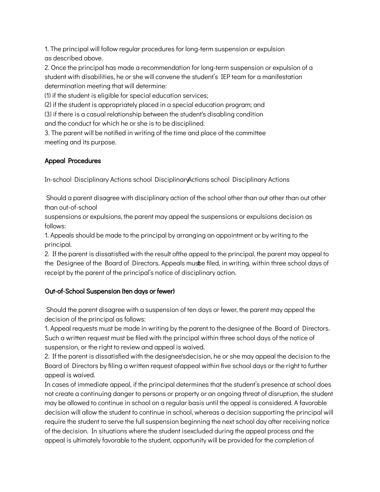1. The principal will follow regular procedures for long-term suspension or expulsion as described above.

2. Once the principal has made a recommendation for long-term suspension or expulsion of a student with disabilities, he or she will convene the student's IEP team for a manifestation determination meeting that will determine:

(1) if the student is eligible for special education services;

(2) if the student is appropriately placed in a special education program; and

(3) if there is a casual relationship between the student's disabling condition

and the conduct for which he or she is to be disciplined.

3. The parent will be notified in writing of the time and place of the committee meeting and its purpose.

## Appeal Procedures

In-school Disciplinary Actions school DisciplinaryActions school Disciplinary Actions

Should a parent disagree with disciplinary action of the school other than out other than out other than out-of-school

suspensions or expulsions, the parent may appeal the suspensions or expulsions decision as follows:

1. Appeals should be made to the principal by arranging an appointment or by writing to the principal.

2. If the parent is dissatisfied with the result ofthe appeal to the principal, the parent may appeal to the Designee of the Board of Directors. Appeals musbe filed, in writing, within three school days of receipt by the parent of the principal's notice of disciplinary action.

## Out-of-School Suspension (ten days or fewer)

Should the parent disagree with a suspension of ten days or fewer, the parent may appeal the decision of the principal as follows:

1. Appeal requests must be made in writing by the parent to the designee of the Board of Directors. Such a written request must be filed with the principal within three school days of the notice of suspension, or the right to review and appeal is waived.

2. If the parent is dissatisfied with the designee'sdecision, he or she may appeal the decision to the Board of Directors by filing a written request ofappeal within five school days or the right to further appeal is waived.

In cases of immediate appeal, if the principal determines that the student's presence at school does not create a continuing danger to persons or property or an ongoing threat of disruption, the student may be allowed to continue in school on a regular basis until the appeal is considered. A favorable decision will allow the student to continue in school, whereas a decision supporting the principal will require the student to serve the full suspension beginning the next school day after receiving notice of the decision. In situations where the student isexcluded during the appeal process and the appeal is ultimately favorable to the student, opportunity will be provided for the completion of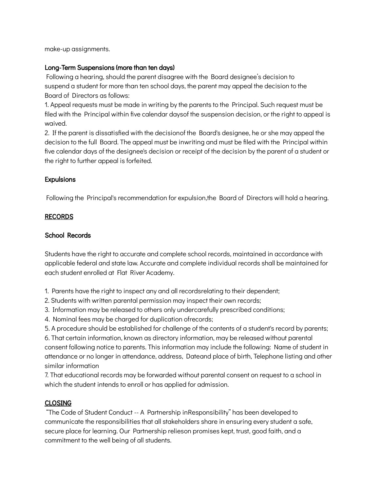make-up assignments.

#### Long-Term Suspensions (more than ten days)

Following a hearing, should the parent disagree with the Board designee's decision to suspend a student for more than ten school days, the parent may appeal the decision to the Board of Directors as follows:

1. Appeal requests must be made in writing by the parents to the Principal. Such request must be filed with the Principal within five calendar daysof the suspension decision, or the right to appeal is waived.

2. If the parent is dissatisfied with the decisionof the Board's designee, he or she may appeal the decision to the full Board. The appeal must be inwriting and must be filed with the Principal within five calendar days of the designee's decision or receipt of the decision by the parent of a student or the right to further appeal is forfeited.

#### **Expulsions**

Following the Principal's recommendation for expulsion,the Board of Directors will hold a hearing.

#### RECORDS

#### School Records

Students have the right to accurate and complete school records, maintained in accordance with applicable federal and state law. Accurate and complete individual records shall be maintained for each student enrolled at Flat River Academy.

1. Parents have the right to inspect any and all recordsrelating to their dependent;

- 2. Students with written parental permission may inspect their own records;
- 3. Information may be released to others only undercarefully prescribed conditions;
- 4. Nominal fees may be charged for duplication ofrecords;

5. A procedure should be established for challenge of the contents of a student's record by parents;

6. That certain information, known as directory information, may be released without parental consent following notice to parents. This information may include the following: Name of student in attendance or no longer in attendance, address, Dateand place of birth, Telephone listing and other similar information

7. That educational records may be forwarded without parental consent on request to a school in which the student intends to enroll or has applied for admission.

## **CLOSING**

"The Code of Student Conduct -- A Partnership inResponsibility" has been developed to communicate the responsibilities that all stakeholders share in ensuring every student a safe, secure place for learning. Our Partnership relieson promises kept, trust, good faith, and a commitment to the well being of all students.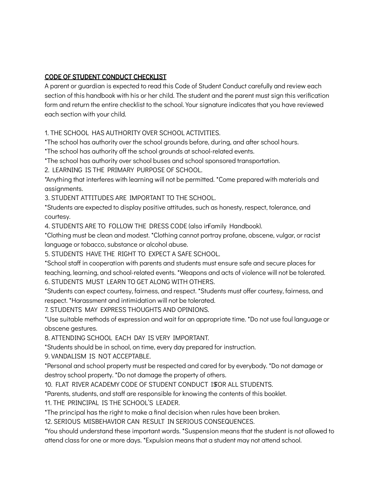## CODE OF STUDENT CONDUCT CHECKLIST

A parent or guardian is expected to read this Code of Student Conduct carefully and review each section of this handbook with his or her child. The student and the parent must sign this verification form and return the entire checklist to the school. Your signature indicates that you have reviewed each section with your child.

1. THE SCHOOL HAS AUTHORITY OVER SCHOOL ACTIVITIES.

\*The school has authority over the school grounds before, during, and after school hours.

\*The school has authority off the school grounds at school-related events.

\*The school has authority over school buses and school sponsored transportation.

2. LEARNING IS THE PRIMARY PURPOSE OF SCHOOL.

\*Anything that interferes with learning will not be permitted. \*Come prepared with materials and assignments.

3. STUDENT ATTITUDES ARE IMPORTANT TO THE SCHOOL.

\*Students are expected to display positive attitudes, such as honesty, respect, tolerance, and courtesy.

4. STUDENTS ARE TO FOLLOW THE DRESS CODE (also inFamily Handbook).

\*Clothing must be clean and modest. \*Clothing cannot portray profane, obscene, vulgar, or racist language or tobacco, substance or alcohol abuse.

5. STUDENTS HAVE THE RIGHT TO EXPECT A SAFE SCHOOL.

\*School staff in cooperation with parents and students must ensure safe and secure places for teaching, learning, and school-related events. \*Weapons and acts of violence will not be tolerated. 6. STUDENTS MUST LEARN TO GET ALONG WITH OTHERS.

\*Students can expect courtesy, fairness, and respect. \*Students must offer courtesy, fairness, and respect. \*Harassment and intimidation will not be tolerated.

7. STUDENTS MAY EXPRESS THOUGHTS AND OPINIONS.

\*Use suitable methods of expression and wait for an appropriate time. \*Do not use foul language or obscene gestures.

8. ATTENDING SCHOOL EACH DAY IS VERY IMPORTANT.

\*Students should be in school, on time, every day prepared for instruction.

9. VANDALISM IS NOT ACCEPTABLE.

\*Personal and school property must be respected and cared for by everybody. \*Do not damage or destroy school property. \*Do not damage the property of others.

10. FLAT RIVER ACADEMY CODE OF STUDENT CONDUCT ISOR ALL STUDENTS.

\*Parents, students, and staff are responsible for knowing the contents of this booklet.

11. THE PRINCIPAL IS THE SCHOOL'S LEADER.

\*The principal has the right to make a final decision when rules have been broken.

12. SERIOUS MISBEHAVIOR CAN RESULT IN SERIOUS CONSEQUENCES.

\*You should understand these important words. \*Suspension means that the student is not allowed to attend class for one or more days. \*Expulsion means that a student may not attend school.